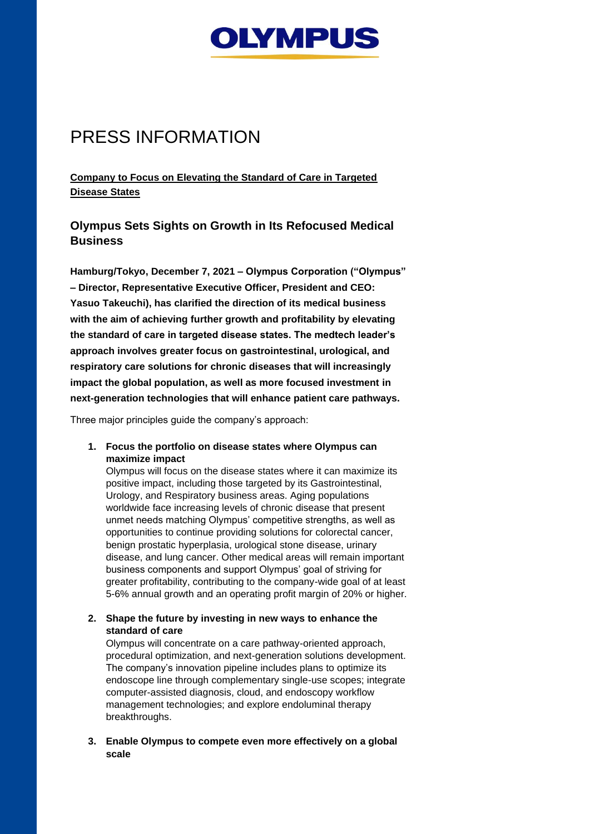

## PRESS INFORMATION

**Company to Focus on Elevating the Standard of Care in Targeted Disease States**

## **Olympus Sets Sights on Growth in Its Refocused Medical Business**

**Hamburg/Tokyo, December 7, 2021 – Olympus Corporation ("Olympus" – Director, Representative Executive Officer, President and CEO: Yasuo Takeuchi), has clarified the direction of its medical business with the aim of achieving further growth and profitability by elevating the standard of care in targeted disease states. The medtech leader's approach involves greater focus on gastrointestinal, urological, and respiratory care solutions for chronic diseases that will increasingly impact the global population, as well as more focused investment in next-generation technologies that will enhance patient care pathways.** 

Three major principles guide the company's approach:

**1. Focus the portfolio on disease states where Olympus can maximize impact** 

Olympus will focus on the disease states where it can maximize its positive impact, including those targeted by its Gastrointestinal, Urology, and Respiratory business areas. Aging populations worldwide face increasing levels of chronic disease that present unmet needs matching Olympus' competitive strengths, as well as opportunities to continue providing solutions for colorectal cancer, benign prostatic hyperplasia, urological stone disease, urinary disease, and lung cancer. Other medical areas will remain important business components and support Olympus' goal of striving for greater profitability, contributing to the company-wide goal of at least 5-6% annual growth and an operating profit margin of 20% or higher.

**2. Shape the future by investing in new ways to enhance the standard of care**

Olympus will concentrate on a care pathway-oriented approach, procedural optimization, and next-generation solutions development. The company's innovation pipeline includes plans to optimize its endoscope line through complementary single-use scopes; integrate computer-assisted diagnosis, cloud, and endoscopy workflow management technologies; and explore endoluminal therapy breakthroughs.

**3. Enable Olympus to compete even more effectively on a global scale**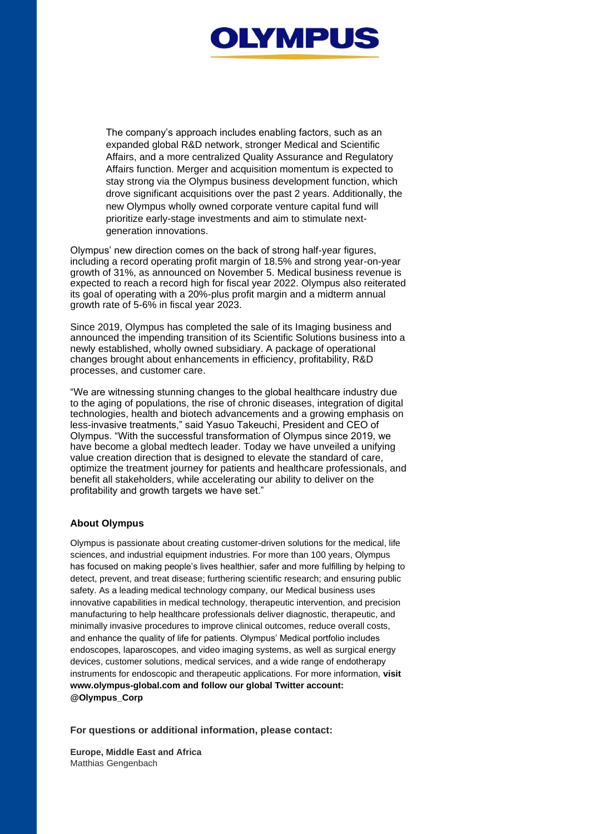

The company's approach includes enabling factors, such as an expanded global R&D network, stronger Medical and Scientific Affairs, and a more centralized Quality Assurance and Regulatory Affairs function. Merger and acquisition momentum is expected to stay strong via the Olympus business development function, which drove significant acquisitions over the past 2 years. Additionally, the new Olympus wholly owned corporate venture capital fund will prioritize early-stage investments and aim to stimulate nextgeneration innovations.

Olympus' new direction comes on the back of strong half-year figures, including a record operating profit margin of 18.5% and strong year-on-year growth of 31%, as announced on November 5. Medical business revenue is expected to reach a record high for fiscal year 2022. Olympus also reiterated its goal of operating with a 20%-plus profit margin and a midterm annual growth rate of 5-6% in fiscal year 2023.

Since 2019, Olympus has completed the sale of its Imaging business and announced the impending transition of its Scientific Solutions business into a newly established, wholly owned subsidiary. A package of operational changes brought about enhancements in efficiency, profitability, R&D processes, and customer care.

"We are witnessing stunning changes to the global healthcare industry due to the aging of populations, the rise of chronic diseases, integration of digital technologies, health and biotech advancements and a growing emphasis on less-invasive treatments," said Yasuo Takeuchi, President and CEO of Olympus. "With the successful transformation of Olympus since 2019, we have become a global medtech leader. Today we have unveiled a unifying value creation direction that is designed to elevate the standard of care, optimize the treatment journey for patients and healthcare professionals, and benefit all stakeholders, while accelerating our ability to deliver on the profitability and growth targets we have set."

## **About Olympus**

Olympus is passionate about creating customer-driven solutions for the medical, life sciences, and industrial equipment industries. For more than 100 years, Olympus has focused on making people's lives healthier, safer and more fulfilling by helping to detect, prevent, and treat disease; furthering scientific research; and ensuring public safety. As a leading medical technology company, our Medical business uses innovative capabilities in medical technology, therapeutic intervention, and precision manufacturing to help healthcare professionals deliver diagnostic, therapeutic, and minimally invasive procedures to improve clinical outcomes, reduce overall costs, and enhance the quality of life for patients. Olympus' Medical portfolio includes endoscopes, laparoscopes, and video imaging systems, as well as surgical energy devices, customer solutions, medical services, and a wide range of endotherapy instruments for endoscopic and therapeutic applications. For more information, **visit www.olympus-global.com and follow our global Twitter account: @Olympus\_Corp**

**For questions or additional information, please contact:**

**Europe, Middle East and Africa** Matthias Gengenbach